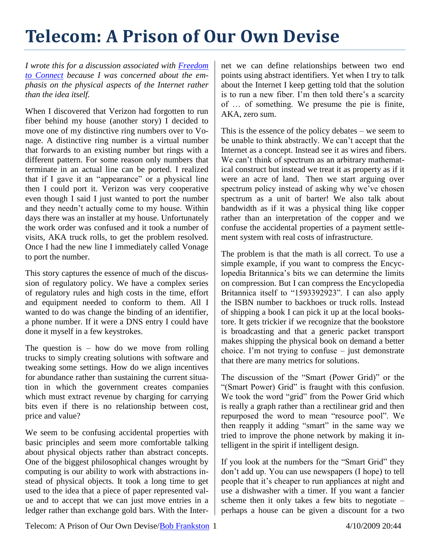## **Telecom: A Prison of Our Own Devise**

*I wrote this for a discussion associated with [Freedom](http://freedom-to-connect.net/)  [to Connect](http://freedom-to-connect.net/) because I was concerned about the emphasis on the physical aspects of the Internet rather than the idea itself.*

When I discovered that Verizon had forgotten to run fiber behind my house (another story) I decided to move one of my distinctive ring numbers over to Vonage. A distinctive ring number is a virtual number that forwards to an existing number but rings with a different pattern. For some reason only numbers that terminate in an actual line can be ported. I realized that if I gave it an "appearance" or a physical line then I could port it. Verizon was very cooperative even though I said I just wanted to port the number and they needn't actually come to my house. Within days there was an installer at my house. Unfortunately the work order was confused and it took a number of visits, AKA truck rolls, to get the problem resolved. Once I had the new line I immediately called Vonage to port the number.

This story captures the essence of much of the discussion of regulatory policy. We have a complex series of regulatory rules and high costs in the time, effort and equipment needed to conform to them. All I wanted to do was change the binding of an identifier, a phone number. If it were a DNS entry I could have done it myself in a few keystrokes.

The question is  $-$  how do we move from rolling trucks to simply creating solutions with software and tweaking some settings. How do we align incentives for abundance rather than sustaining the current situation in which the government creates companies which must extract revenue by charging for carrying bits even if there is no relationship between cost, price and value?

We seem to be confusing accidental properties with basic principles and seem more comfortable talking about physical objects rather than abstract concepts. One of the biggest philosophical changes wrought by computing is our ability to work with abstractions instead of physical objects. It took a long time to get used to the idea that a piece of paper represented value and to accept that we can just move entries in a ledger rather than exchange gold bars. With the Internet we can define relationships between two end points using abstract identifiers. Yet when I try to talk about the Internet I keep getting told that the solution is to run a new fiber. I'm then told there's a scarcity of … of something. We presume the pie is finite, AKA, zero sum.

This is the essence of the policy debates – we seem to be unable to think abstractly. We can't accept that the Internet as a concept. Instead see it as wires and fibers. We can't think of spectrum as an arbitrary mathematical construct but instead we treat it as property as if it were an acre of land. Then we start arguing over spectrum policy instead of asking why we've chosen spectrum as a unit of barter! We also talk about bandwidth as if it was a physical thing like copper rather than an interpretation of the copper and we confuse the accidental properties of a payment settlement system with real costs of infrastructure.

The problem is that the math is all correct. To use a simple example, if you want to compress the Encyclopedia Britannica's bits we can determine the limits on compression. But I can compress the Encyclopedia Britannica itself to "1593392923". I can also apply the ISBN number to backhoes or truck rolls. Instead of shipping a book I can pick it up at the local bookstore. It gets trickier if we recognize that the bookstore is broadcasting and that a generic packet transport makes shipping the physical book on demand a better choice. I'm not trying to confuse – just demonstrate that there are many metrics for solutions.

The discussion of the "Smart (Power Grid)" or the "(Smart Power) Grid" is fraught with this confusion. We took the word "grid" from the Power Grid which is really a graph rather than a rectilinear grid and then repurposed the word to mean "resource pool". We then reapply it adding "smart" in the same way we tried to improve the phone network by making it intelligent in the spirit if intelligent design.

If you look at the numbers for the "Smart Grid" they don't add up. You can use newspapers (I hope) to tell people that it's cheaper to run appliances at night and use a dishwasher with a timer. If you want a fancier scheme then it only takes a few bits to negotiate  $$ perhaps a house can be given a discount for a two

Telecom: A Prison of Our Own Devise/Bob Frankston 1 4/10/2009 20:44